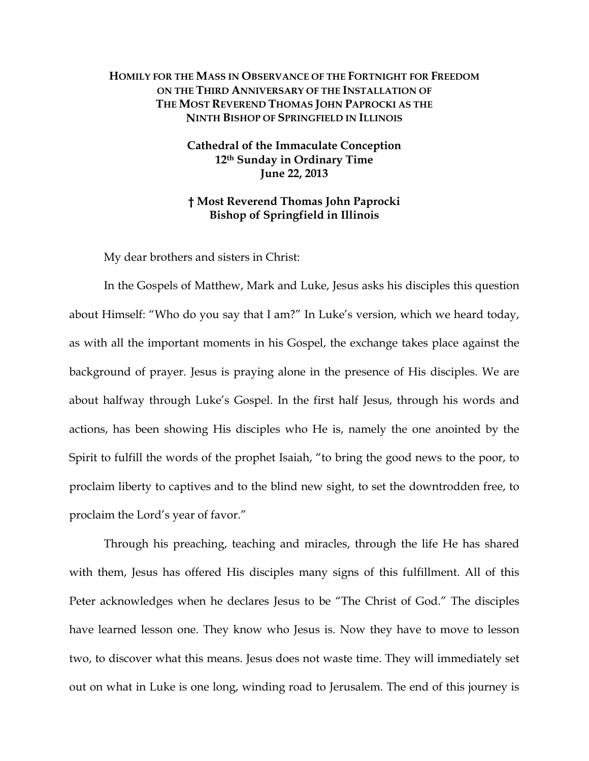## **HOMILY FOR THE MASS IN OBSERVANCE OF THE FORTNIGHT FOR FREEDOM ON THE THIRD ANNIVERSARY OF THE INSTALLATION OF THE MOST REVEREND THOMAS JOHN PAPROCKI AS THE NINTH BISHOP OF SPRINGFIELD IN ILLINOIS**

**Cathedral of the Immaculate Conception 12th Sunday in Ordinary Time June 22, 2013** 

## **† Most Reverend Thomas John Paprocki Bishop of Springfield in Illinois**

My dear brothers and sisters in Christ:

In the Gospels of Matthew, Mark and Luke, Jesus asks his disciples this question about Himself: "Who do you say that I am?" In Luke's version, which we heard today, as with all the important moments in his Gospel, the exchange takes place against the background of prayer. Jesus is praying alone in the presence of His disciples. We are about halfway through Luke's Gospel. In the first half Jesus, through his words and actions, has been showing His disciples who He is, namely the one anointed by the Spirit to fulfill the words of the prophet Isaiah, "to bring the good news to the poor, to proclaim liberty to captives and to the blind new sight, to set the downtrodden free, to proclaim the Lord's year of favor."

Through his preaching, teaching and miracles, through the life He has shared with them, Jesus has offered His disciples many signs of this fulfillment. All of this Peter acknowledges when he declares Jesus to be "The Christ of God." The disciples have learned lesson one. They know who Jesus is. Now they have to move to lesson two, to discover what this means. Jesus does not waste time. They will immediately set out on what in Luke is one long, winding road to Jerusalem. The end of this journey is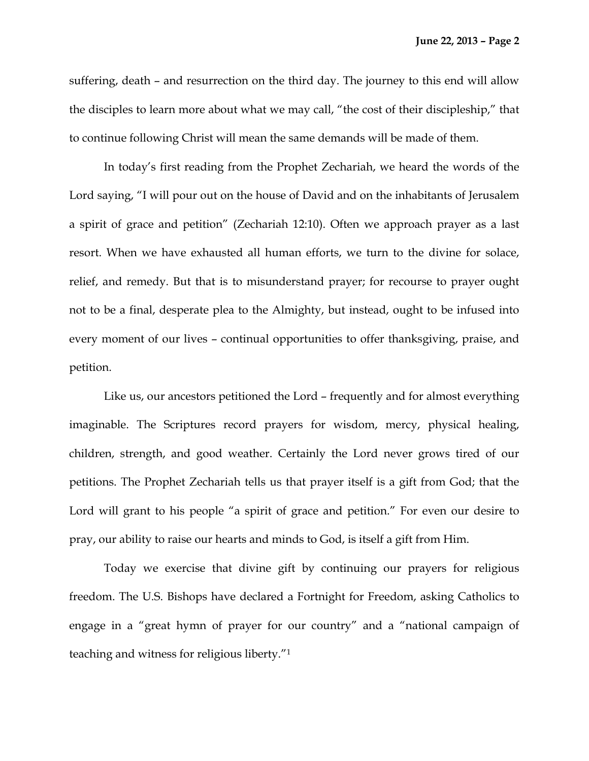suffering, death – and resurrection on the third day. The journey to this end will allow the disciples to learn more about what we may call, "the cost of their discipleship," that to continue following Christ will mean the same demands will be made of them.

In today's first reading from the Prophet Zechariah, we heard the words of the Lord saying, "I will pour out on the house of David and on the inhabitants of Jerusalem a spirit of grace and petition" (Zechariah 12:10). Often we approach prayer as a last resort. When we have exhausted all human efforts, we turn to the divine for solace, relief, and remedy. But that is to misunderstand prayer; for recourse to prayer ought not to be a final, desperate plea to the Almighty, but instead, ought to be infused into every moment of our lives – continual opportunities to offer thanksgiving, praise, and petition.

Like us, our ancestors petitioned the Lord – frequently and for almost everything imaginable. The Scriptures record prayers for wisdom, mercy, physical healing, children, strength, and good weather. Certainly the Lord never grows tired of our petitions. The Prophet Zechariah tells us that prayer itself is a gift from God; that the Lord will grant to his people "a spirit of grace and petition." For even our desire to pray, our ability to raise our hearts and minds to God, is itself a gift from Him.

Today we exercise that divine gift by continuing our prayers for religious freedom. The U.S. Bishops have declared a Fortnight for Freedom, asking Catholics to engage in a "great hymn of prayer for our country" and a "national campaign of teaching and witness for religious liberty."1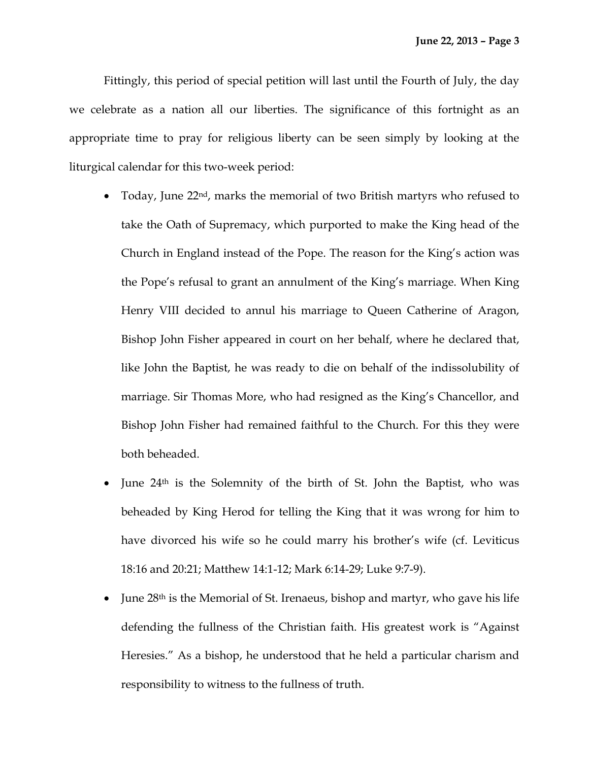Fittingly, this period of special petition will last until the Fourth of July, the day we celebrate as a nation all our liberties. The significance of this fortnight as an appropriate time to pray for religious liberty can be seen simply by looking at the liturgical calendar for this two-week period:

- Today, June 22<sup>nd</sup>, marks the memorial of two British martyrs who refused to take the Oath of Supremacy, which purported to make the King head of the Church in England instead of the Pope. The reason for the King's action was the Pope's refusal to grant an annulment of the King's marriage. When King Henry VIII decided to annul his marriage to Queen Catherine of Aragon, Bishop John Fisher appeared in court on her behalf, where he declared that, like John the Baptist, he was ready to die on behalf of the indissolubility of marriage. Sir Thomas More, who had resigned as the King's Chancellor, and Bishop John Fisher had remained faithful to the Church. For this they were both beheaded.
- June 24<sup>th</sup> is the Solemnity of the birth of St. John the Baptist, who was beheaded by King Herod for telling the King that it was wrong for him to have divorced his wife so he could marry his brother's wife (cf. Leviticus 18:16 and 20:21; Matthew 14:1-12; Mark 6:14-29; Luke 9:7-9).
- June  $28<sup>th</sup>$  is the Memorial of St. Irenaeus, bishop and martyr, who gave his life defending the fullness of the Christian faith. His greatest work is "Against Heresies." As a bishop, he understood that he held a particular charism and responsibility to witness to the fullness of truth.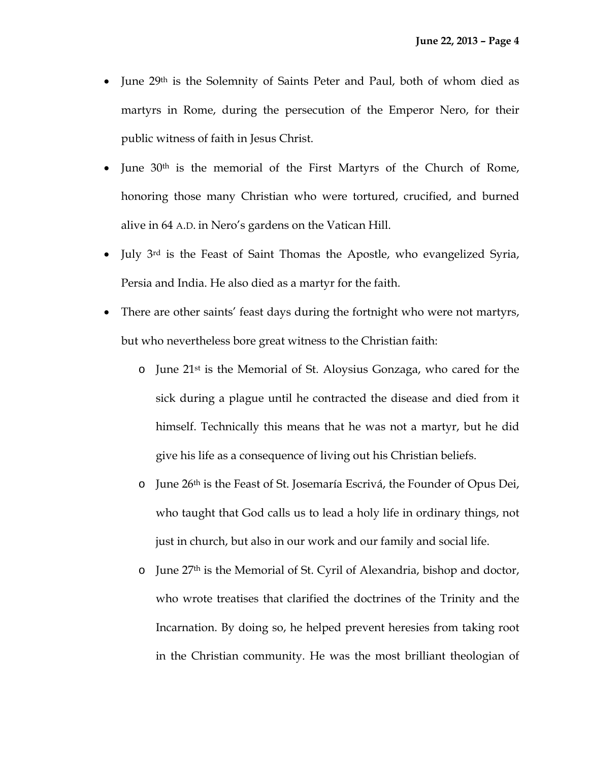- June 29th is the Solemnity of Saints Peter and Paul, both of whom died as martyrs in Rome, during the persecution of the Emperor Nero, for their public witness of faith in Jesus Christ.
- June 30th is the memorial of the First Martyrs of the Church of Rome, honoring those many Christian who were tortured, crucified, and burned alive in 64 A.D. in Nero's gardens on the Vatican Hill.
- July 3<sup>rd</sup> is the Feast of Saint Thomas the Apostle, who evangelized Syria, Persia and India. He also died as a martyr for the faith.
- There are other saints' feast days during the fortnight who were not martyrs, but who nevertheless bore great witness to the Christian faith:
	- o June 21st is the Memorial of St. Aloysius Gonzaga, who cared for the sick during a plague until he contracted the disease and died from it himself. Technically this means that he was not a martyr, but he did give his life as a consequence of living out his Christian beliefs.
	- o June 26th is the Feast of St. Josemaría Escrivá, the Founder of Opus Dei, who taught that God calls us to lead a holy life in ordinary things, not just in church, but also in our work and our family and social life.
	- o June 27th is the Memorial of St. Cyril of Alexandria, bishop and doctor, who wrote treatises that clarified the doctrines of the Trinity and the Incarnation. By doing so, he helped prevent heresies from taking root in the Christian community. He was the most brilliant theologian of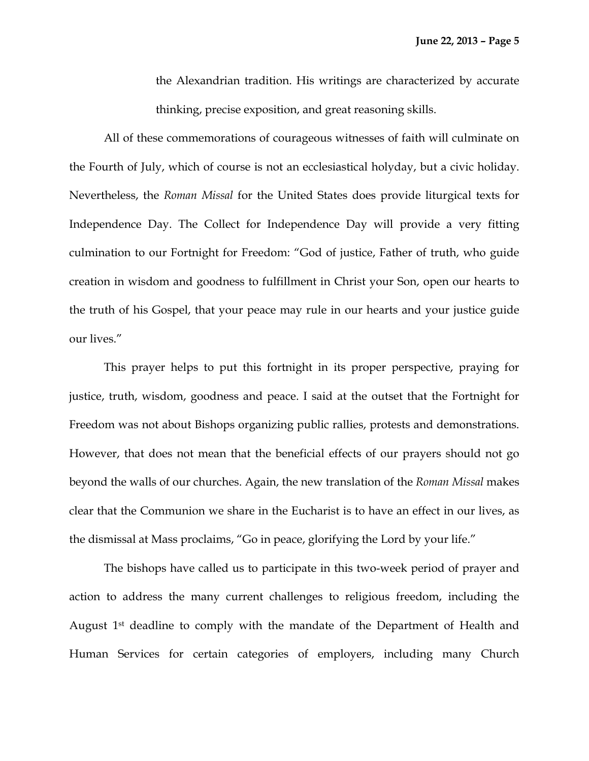the Alexandrian tradition. His writings are characterized by accurate thinking, precise exposition, and great reasoning skills.

 All of these commemorations of courageous witnesses of faith will culminate on the Fourth of July, which of course is not an ecclesiastical holyday, but a civic holiday. Nevertheless, the *Roman Missal* for the United States does provide liturgical texts for Independence Day. The Collect for Independence Day will provide a very fitting culmination to our Fortnight for Freedom: "God of justice, Father of truth, who guide creation in wisdom and goodness to fulfillment in Christ your Son, open our hearts to the truth of his Gospel, that your peace may rule in our hearts and your justice guide our lives."

 This prayer helps to put this fortnight in its proper perspective, praying for justice, truth, wisdom, goodness and peace. I said at the outset that the Fortnight for Freedom was not about Bishops organizing public rallies, protests and demonstrations. However, that does not mean that the beneficial effects of our prayers should not go beyond the walls of our churches. Again, the new translation of the *Roman Missal* makes clear that the Communion we share in the Eucharist is to have an effect in our lives, as the dismissal at Mass proclaims, "Go in peace, glorifying the Lord by your life."

 The bishops have called us to participate in this two-week period of prayer and action to address the many current challenges to religious freedom, including the August 1<sup>st</sup> deadline to comply with the mandate of the Department of Health and Human Services for certain categories of employers, including many Church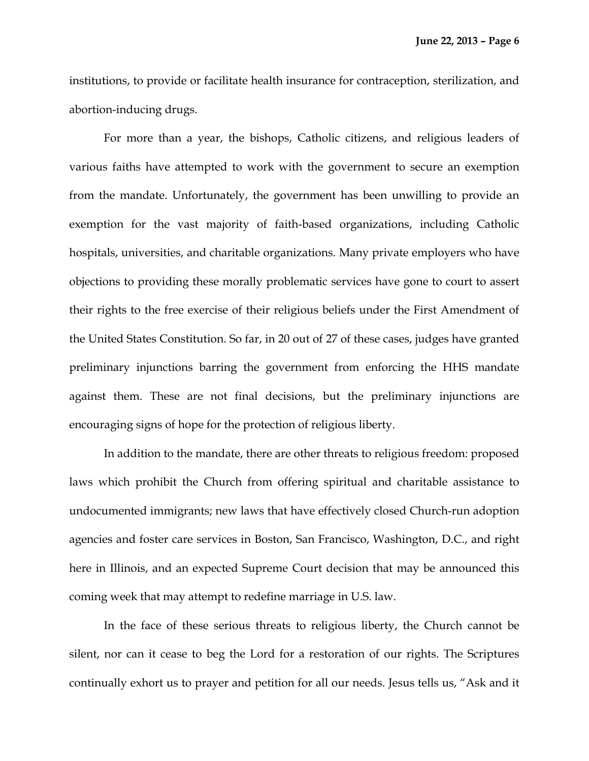institutions, to provide or facilitate health insurance for contraception, sterilization, and abortion-inducing drugs.

For more than a year, the bishops, Catholic citizens, and religious leaders of various faiths have attempted to work with the government to secure an exemption from the mandate. Unfortunately, the government has been unwilling to provide an exemption for the vast majority of faith-based organizations, including Catholic hospitals, universities, and charitable organizations. Many private employers who have objections to providing these morally problematic services have gone to court to assert their rights to the free exercise of their religious beliefs under the First Amendment of the United States Constitution. So far, in 20 out of 27 of these cases, judges have granted preliminary injunctions barring the government from enforcing the HHS mandate against them. These are not final decisions, but the preliminary injunctions are encouraging signs of hope for the protection of religious liberty.

In addition to the mandate, there are other threats to religious freedom: proposed laws which prohibit the Church from offering spiritual and charitable assistance to undocumented immigrants; new laws that have effectively closed Church-run adoption agencies and foster care services in Boston, San Francisco, Washington, D.C., and right here in Illinois, and an expected Supreme Court decision that may be announced this coming week that may attempt to redefine marriage in U.S. law.

In the face of these serious threats to religious liberty, the Church cannot be silent, nor can it cease to beg the Lord for a restoration of our rights. The Scriptures continually exhort us to prayer and petition for all our needs. Jesus tells us, "Ask and it